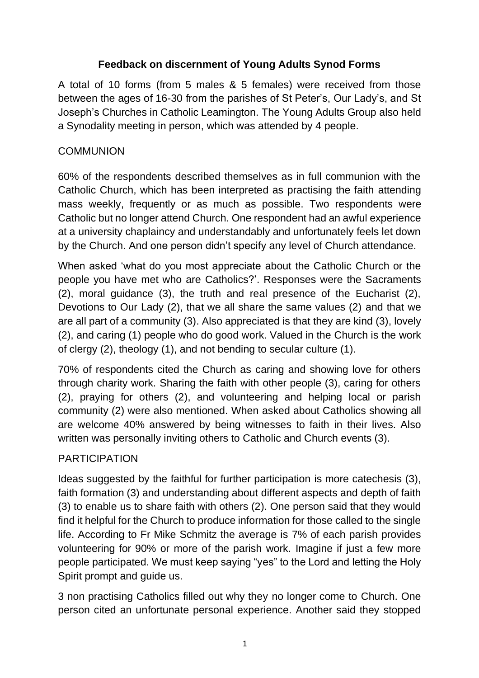# **Feedback on discernment of Young Adults Synod Forms**

A total of 10 forms (from 5 males & 5 females) were received from those between the ages of 16-30 from the parishes of St Peter's, Our Lady's, and St Joseph's Churches in Catholic Leamington. The Young Adults Group also held a Synodality meeting in person, which was attended by 4 people.

# **COMMUNION**

60% of the respondents described themselves as in full communion with the Catholic Church, which has been interpreted as practising the faith attending mass weekly, frequently or as much as possible. Two respondents were Catholic but no longer attend Church. One respondent had an awful experience at a university chaplaincy and understandably and unfortunately feels let down by the Church. And one person didn't specify any level of Church attendance.

When asked 'what do you most appreciate about the Catholic Church or the people you have met who are Catholics?'. Responses were the Sacraments (2), moral guidance (3), the truth and real presence of the Eucharist (2), Devotions to Our Lady (2), that we all share the same values (2) and that we are all part of a community (3). Also appreciated is that they are kind (3), lovely (2), and caring (1) people who do good work. Valued in the Church is the work of clergy (2), theology (1), and not bending to secular culture (1).

70% of respondents cited the Church as caring and showing love for others through charity work. Sharing the faith with other people (3), caring for others (2), praying for others (2), and volunteering and helping local or parish community (2) were also mentioned. When asked about Catholics showing all are welcome 40% answered by being witnesses to faith in their lives. Also written was personally inviting others to Catholic and Church events (3).

# PARTICIPATION

Ideas suggested by the faithful for further participation is more catechesis (3), faith formation (3) and understanding about different aspects and depth of faith (3) to enable us to share faith with others (2). One person said that they would find it helpful for the Church to produce information for those called to the single life. According to Fr Mike Schmitz the average is 7% of each parish provides volunteering for 90% or more of the parish work. Imagine if just a few more people participated. We must keep saying "yes" to the Lord and letting the Holy Spirit prompt and guide us.

3 non practising Catholics filled out why they no longer come to Church. One person cited an unfortunate personal experience. Another said they stopped